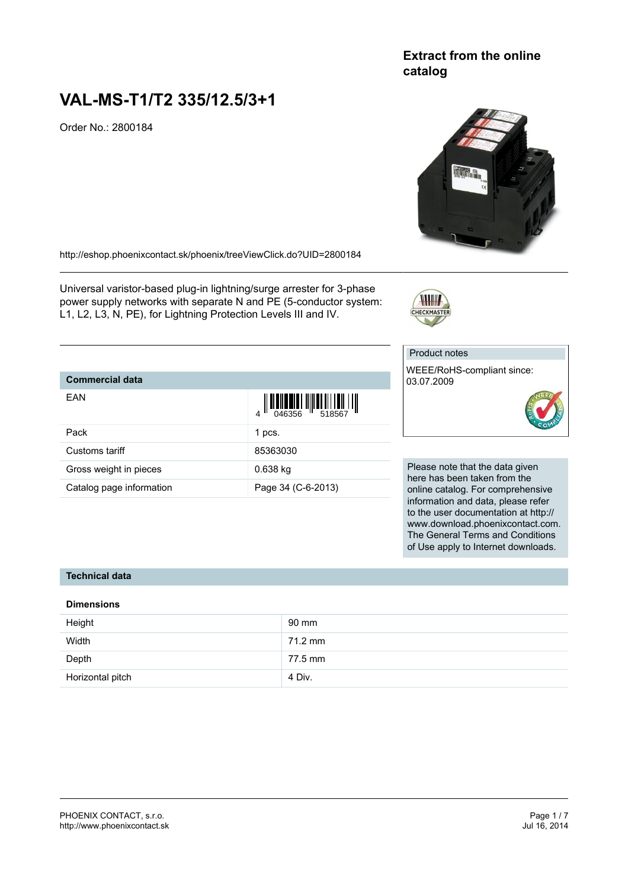## **Extract from the online catalog**

## **VAL-MS-T1/T2 335/12.5/3+1**

Pack 1 pcs. Customs tariff 85363030 Gross weight in pieces **6.638** kg

Catalog page information Page 34 (C-6-2013)

Order No.: 2800184



<http://eshop.phoenixcontact.sk/phoenix/treeViewClick.do?UID=2800184>

Universal varistor-based plug-in lightning/surge arrester for 3-phase power supply networks with separate N and PE (5-conductor system: L1, L2, L3, N, PE), for Lightning Protection Levels III and IV.

# Product notes

CHECKMASTER

WEEE/RoHS-compliant since: 03.07.2009



Please note that the data given here has been taken from the online catalog. For comprehensive information and data, please refer to the user documentation at http:// www.download.phoenixcontact.com. The General Terms and Conditions of Use apply to Internet downloads.

## **Technical data**

**Commercial data**

EAN

#### **Dimensions**

| Height           | 90 mm   |
|------------------|---------|
| Width            | 71.2 mm |
| Depth            | 77.5 mm |
| Horizontal pitch | 4 Div.  |

 $\frac{1}{4}$   $\left\| \frac{1}{1046356} \right\| \left\| \frac{1}{1046356} \right\|$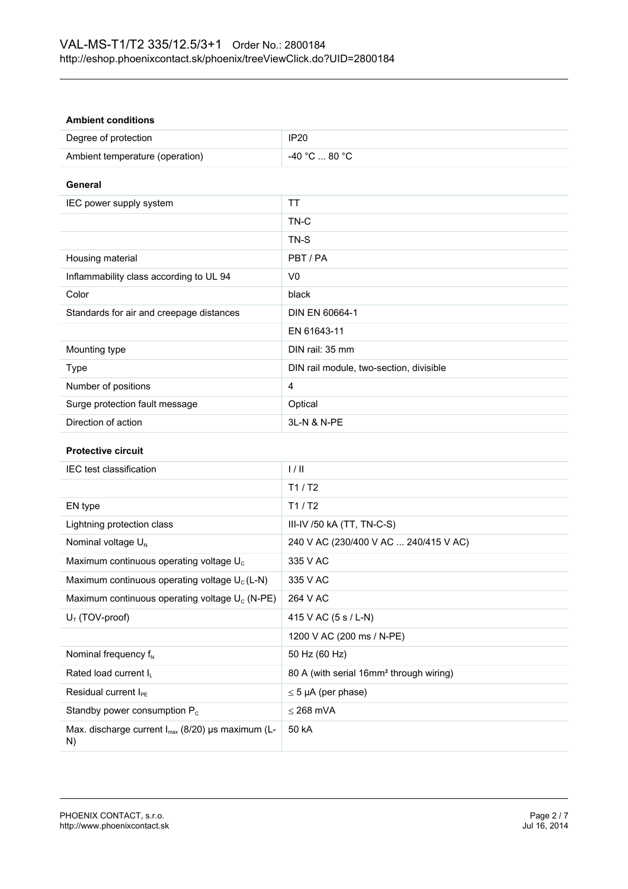#### **Ambient conditions**

| Degree of protection            | IP20          |
|---------------------------------|---------------|
| Ambient temperature (operation) | -40 °C  80 °C |

**General**

| IEC power supply system                  | TT                                      |
|------------------------------------------|-----------------------------------------|
|                                          | TN-C                                    |
|                                          | TN-S                                    |
| Housing material                         | PBT/PA                                  |
| Inflammability class according to UL 94  | V0                                      |
| Color                                    | black                                   |
| Standards for air and creepage distances | DIN EN 60664-1                          |
|                                          | EN 61643-11                             |
| Mounting type                            | DIN rail: 35 mm                         |
| Type                                     | DIN rail module, two-section, divisible |
| Number of positions                      | 4                                       |
| Surge protection fault message           | Optical                                 |
| Direction of action                      | 3L-N & N-PE                             |

## **Protective circuit**

| IEC test classification                                      | 1/11                                                |
|--------------------------------------------------------------|-----------------------------------------------------|
|                                                              | T1/T2                                               |
| EN type                                                      | T1/ T2                                              |
| Lightning protection class                                   | III-IV /50 kA $(TT, TN-C-S)$                        |
| Nominal voltage $U_{N}$                                      | 240 V AC (230/400 V AC  240/415 V AC)               |
| Maximum continuous operating voltage $U_c$                   | 335 V AC                                            |
| Maximum continuous operating voltage $U_c(L-N)$              | 335 V AC                                            |
| Maximum continuous operating voltage $U_c$ (N-PE)            | 264 V AC                                            |
| $U_T$ (TOV-proof)                                            | 415 V AC $(5 s / L-N)$                              |
|                                                              | 1200 V AC (200 ms / N-PE)                           |
| Nominal frequency $f_N$                                      | 50 Hz (60 Hz)                                       |
| Rated load current I <sub>L</sub>                            | 80 A (with serial 16mm <sup>2</sup> through wiring) |
| Residual current l <sub>PE</sub>                             | $\leq$ 5 µA (per phase)                             |
| Standby power consumption $P_c$                              | $<$ 268 mVA                                         |
| Max. discharge current $I_{max}$ (8/20) µs maximum (L-<br>N) | 50 kA                                               |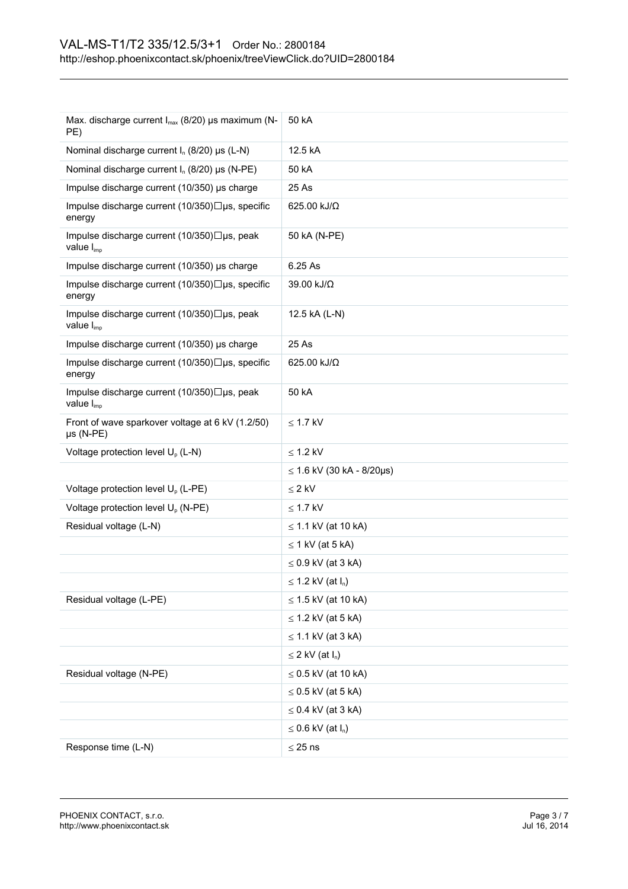| Max. discharge current I <sub>max</sub> (8/20) µs maximum (N-<br>PE)  | 50 kA                       |
|-----------------------------------------------------------------------|-----------------------------|
| Nominal discharge current I <sub>n</sub> (8/20) µs (L-N)              | 12.5 kA                     |
| Nominal discharge current $I_n$ (8/20) µs (N-PE)                      | 50 kA                       |
| Impulse discharge current (10/350) µs charge                          | 25 As                       |
| Impulse discharge current (10/350)□µs, specific<br>energy             | 625.00 kJ/Ω                 |
| Impulse discharge current (10/350)□µs, peak<br>value $I_{\text{imp}}$ | 50 kA (N-PE)                |
| Impulse discharge current (10/350) µs charge                          | 6.25 As                     |
| Impulse discharge current (10/350)□µs, specific<br>energy             | 39.00 kJ/Ω                  |
| Impulse discharge current (10/350)□µs, peak<br>value $I_{\text{imp}}$ | 12.5 kA (L-N)               |
| Impulse discharge current (10/350) µs charge                          | 25 As                       |
| Impulse discharge current (10/350)□µs, specific<br>energy             | 625.00 kJ/Ω                 |
| Impulse discharge current (10/350)□µs, peak<br>value I <sub>imp</sub> | 50 kA                       |
| Front of wave sparkover voltage at 6 kV (1.2/50)<br>$\mu s$ (N-PE)    | $\leq$ 1.7 kV               |
| Voltage protection level U <sub>p</sub> (L-N)                         | $\leq$ 1.2 kV               |
|                                                                       | $≤ 1.6$ kV (30 kA - 8/20µs) |
| Voltage protection level U <sub>p</sub> (L-PE)                        | $\leq 2$ kV                 |
| Voltage protection level U <sub>p</sub> (N-PE)                        | $\leq$ 1.7 kV               |
| Residual voltage (L-N)                                                | $\leq$ 1.1 kV (at 10 kA)    |
|                                                                       | $\leq$ 1 kV (at 5 kA)       |
|                                                                       | $\leq$ 0.9 kV (at 3 kA)     |
|                                                                       | $\leq$ 1.2 kV (at $I_n$ )   |
| Residual voltage (L-PE)                                               | $\leq$ 1.5 kV (at 10 kA)    |
|                                                                       | $\leq$ 1.2 kV (at 5 kA)     |
|                                                                       | $\leq$ 1.1 kV (at 3 kA)     |
|                                                                       | $\leq$ 2 kV (at $I_n$ )     |
| Residual voltage (N-PE)                                               | $\leq$ 0.5 kV (at 10 kA)    |
|                                                                       | $\leq$ 0.5 kV (at 5 kA)     |
|                                                                       | $\leq$ 0.4 kV (at 3 kA)     |
|                                                                       | $\leq$ 0.6 kV (at $I_n$ )   |
| Response time (L-N)                                                   | $\leq$ 25 ns                |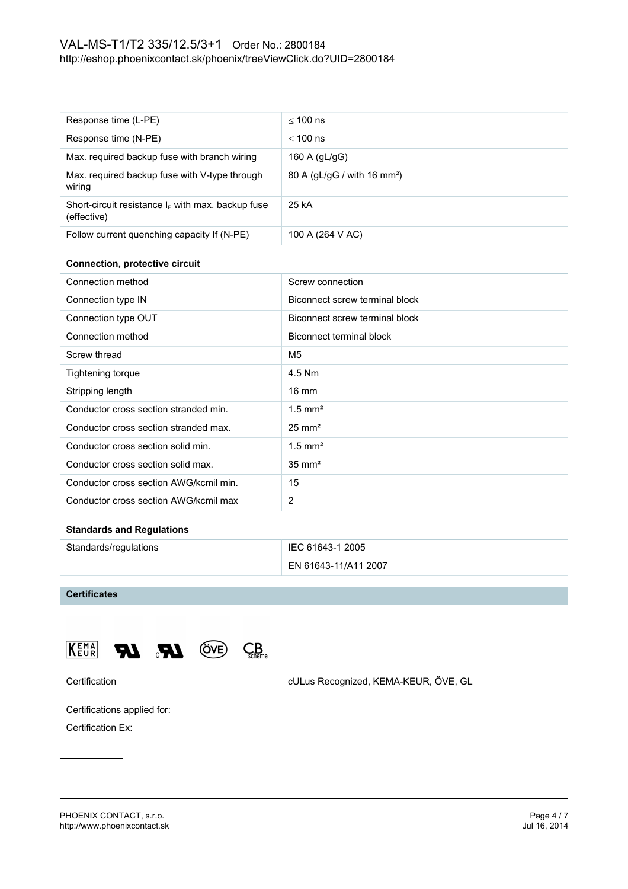| Response time (L-PE)                                                | $<$ 100 ns                              |
|---------------------------------------------------------------------|-----------------------------------------|
| Response time (N-PE)                                                | $<$ 100 ns                              |
| Max. required backup fuse with branch wiring                        | 160 A $(dL/qG)$                         |
| Max. required backup fuse with V-type through<br>wiring             | 80 A (gL/gG / with 16 mm <sup>2</sup> ) |
| Short-circuit resistance $I_P$ with max. backup fuse<br>(effective) | 25 kA                                   |
| Follow current quenching capacity If (N-PE)                         | 100 A (264 V AC)                        |

#### **Connection, protective circuit**

| Connection method                      | Screw connection               |
|----------------------------------------|--------------------------------|
| Connection type IN                     | Biconnect screw terminal block |
| Connection type OUT                    | Biconnect screw terminal block |
| Connection method                      | Biconnect terminal block       |
| Screw thread                           | M <sub>5</sub>                 |
| Tightening torque                      | 4.5 Nm                         |
| Stripping length                       | $16 \text{ mm}$                |
| Conductor cross section stranded min.  | $1.5$ mm <sup>2</sup>          |
| Conductor cross section stranded max.  | $25 \text{ mm}^2$              |
| Conductor cross section solid min.     | $1.5$ mm <sup>2</sup>          |
| Conductor cross section solid max.     | $35 \text{ mm}^2$              |
| Conductor cross section AWG/kcmil min. | 15                             |
| Conductor cross section AWG/kcmil max  | 2                              |

#### **Standards and Regulations**

| Standards/regulations | IEC 61643-1 2005     |
|-----------------------|----------------------|
|                       | EN 61643-11/A11 2007 |

#### **Certificates**





 $C_{\text{scheme}}^B$ 

Certification cULus Recognized, KEMA-KEUR, ÖVE, GL

Certifications applied for:

Certification Ex: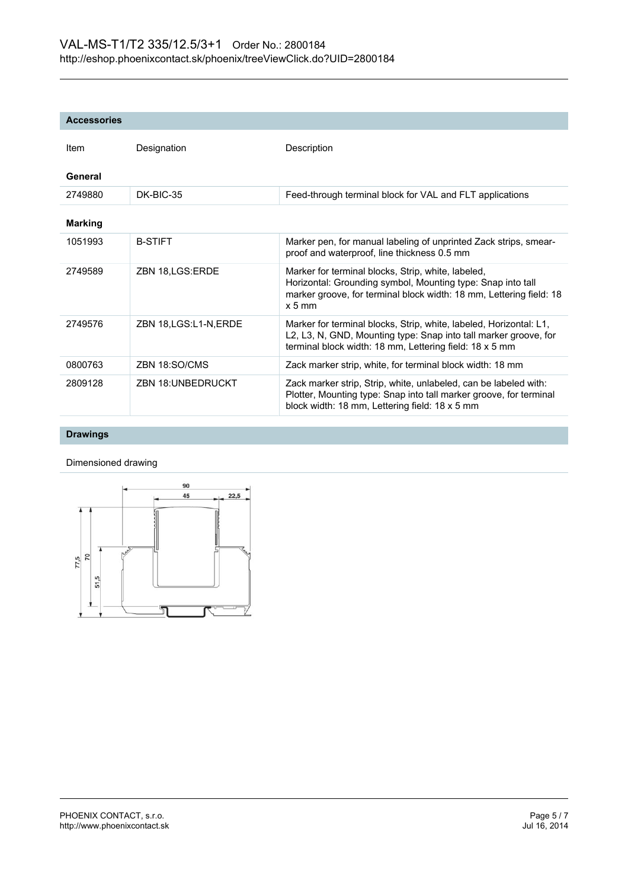#### **Accessories**

| <b>Item</b>    | Designation              | Description                                                                                                                                                                                                        |
|----------------|--------------------------|--------------------------------------------------------------------------------------------------------------------------------------------------------------------------------------------------------------------|
| General        |                          |                                                                                                                                                                                                                    |
| 2749880        | DK-BIC-35                | Feed-through terminal block for VAL and FLT applications                                                                                                                                                           |
| <b>Marking</b> |                          |                                                                                                                                                                                                                    |
| 1051993        | <b>B-STIFT</b>           | Marker pen, for manual labeling of unprinted Zack strips, smear-<br>proof and waterproof, line thickness 0.5 mm                                                                                                    |
| 2749589        | ZBN 18, LGS: ERDE        | Marker for terminal blocks, Strip, white, labeled,<br>Horizontal: Grounding symbol, Mounting type: Snap into tall<br>marker groove, for terminal block width: 18 mm, Lettering field: 18<br>$x 5$ mm               |
| 2749576        | ZBN 18, LGS: L1-N, ERDE  | Marker for terminal blocks, Strip, white, labeled, Horizontal: L1,<br>L2, L3, N, GND, Mounting type: Snap into tall marker groove, for<br>terminal block width: 18 mm, Lettering field: 18 x 5 mm                  |
| 0800763        | ZBN 18:SO/CMS            | Zack marker strip, white, for terminal block width: 18 mm                                                                                                                                                          |
| 2809128        | <b>ZBN 18:UNBEDRUCKT</b> | Zack marker strip, Strip, white, unlabeled, can be labeled with:<br>Plotter, Mounting type: Snap into tall marker groove, for terminal<br>block width: $18 \text{ mm}$ , Lettering field: $18 \times 5 \text{ mm}$ |

## **Drawings**

Dimensioned drawing

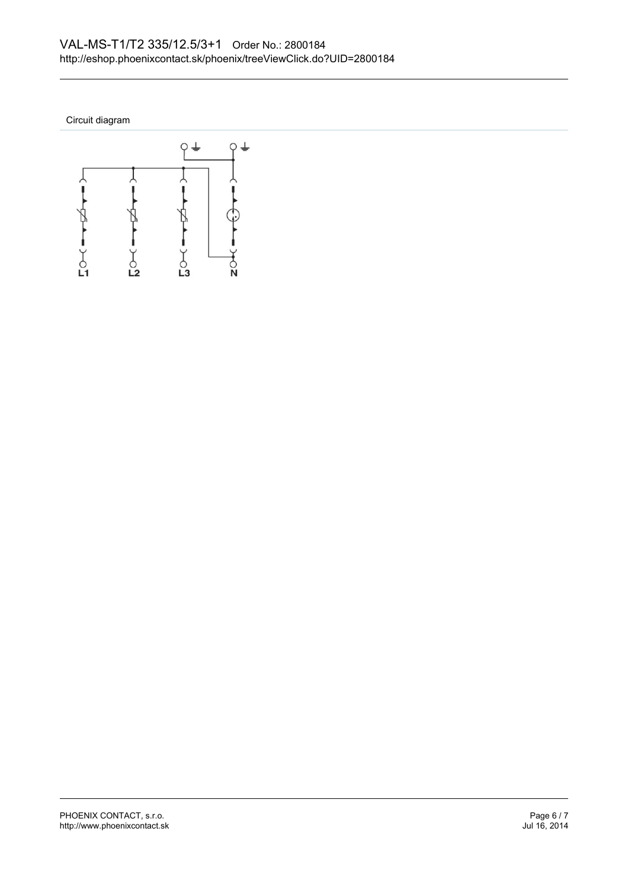Circuit diagram